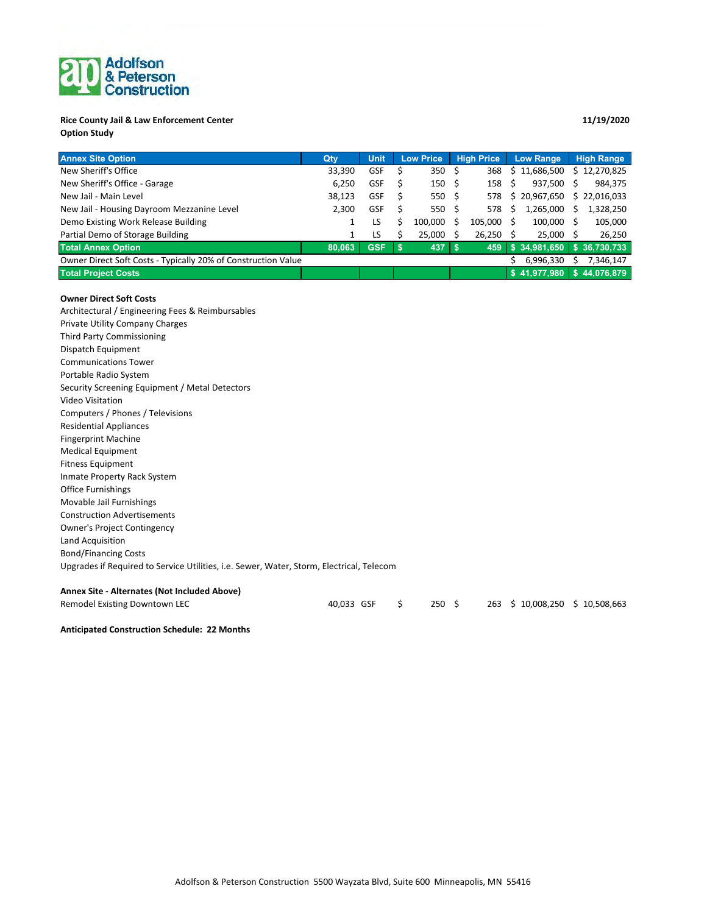## Adolfson<br>& Peterson<br>Construction

### **Rice County Jail & Law Enforcement Center 11/19/2020 Option Study**

| <b>Annex Site Option</b>                                      | Qty    | <b>Unit</b> | <b>Low Price</b> | <b>High Price</b> |         | <b>Low Range</b> |              | <b>High Range</b> |              |
|---------------------------------------------------------------|--------|-------------|------------------|-------------------|---------|------------------|--------------|-------------------|--------------|
| New Sheriff's Office                                          | 33,390 | <b>GSF</b>  | 350 <sup>5</sup> |                   | 368     |                  | \$11,686,500 |                   | 12,270,825   |
| New Sheriff's Office - Garage                                 | 6.250  | <b>GSF</b>  | 150 <sup>5</sup> |                   | 158     | S                | 937.500      | S                 | 984,375      |
| New Jail - Main Level                                         | 38,123 | <b>GSF</b>  | 550 \$           |                   | 578     |                  | \$20,967,650 | S.                | 22,016,033   |
| New Jail - Housing Dayroom Mezzanine Level                    | 2.300  | <b>GSF</b>  | 550 \$           |                   | 578     | Ś                | 1.265.000    |                   | 1,328,250    |
| Demo Existing Work Release Building                           |        | LS.         | 100.000          |                   | 105.000 |                  | 100.000      |                   | 105,000      |
| Partial Demo of Storage Building                              |        | LS          | 25.000           |                   | 26.250  |                  | 25.000       |                   | 26,250       |
| <b>Total Annex Option</b>                                     | 80.063 | <b>GSF</b>  | 437              |                   | 459     |                  | \$34.981.650 |                   | \$36,730,733 |
| Owner Direct Soft Costs - Typically 20% of Construction Value |        |             |                  |                   |         |                  | 6,996,330    |                   | 7.346.147    |
| <b>Total Project Costs</b>                                    |        |             |                  |                   |         |                  | \$41.977.980 |                   | \$44,076,879 |

#### **Owner Direct Soft Costs**

Architectural / Engineering Fees & Reimbursables Private Utility Company Charges Third Party Commissioning Dispatch Equipment Communications Tower Portable Radio System Security Screening Equipment / Metal Detectors Video Visitation Computers / Phones / Televisions Residential Appliances Fingerprint Machine Medical Equipment Fitness Equipment Inmate Property Rack System Office Furnishings Movable Jail Furnishings Construction Advertisements Owner's Project Contingency Land Acquisition Bond/Financing Costs Upgrades if Required to Service Utilities, i.e. Sewer, Water, Storm, Electrical, Telecom

### **Annex Site - Alternates (Not Included Above)**

| Remodel Existing Downtown LEC | 40,033 GSF \$ |  | 250 \$ |  | 263 \$10,008,250 \$10,508,663 |  |
|-------------------------------|---------------|--|--------|--|-------------------------------|--|
|-------------------------------|---------------|--|--------|--|-------------------------------|--|

**Anticipated Construction Schedule: 22 Months**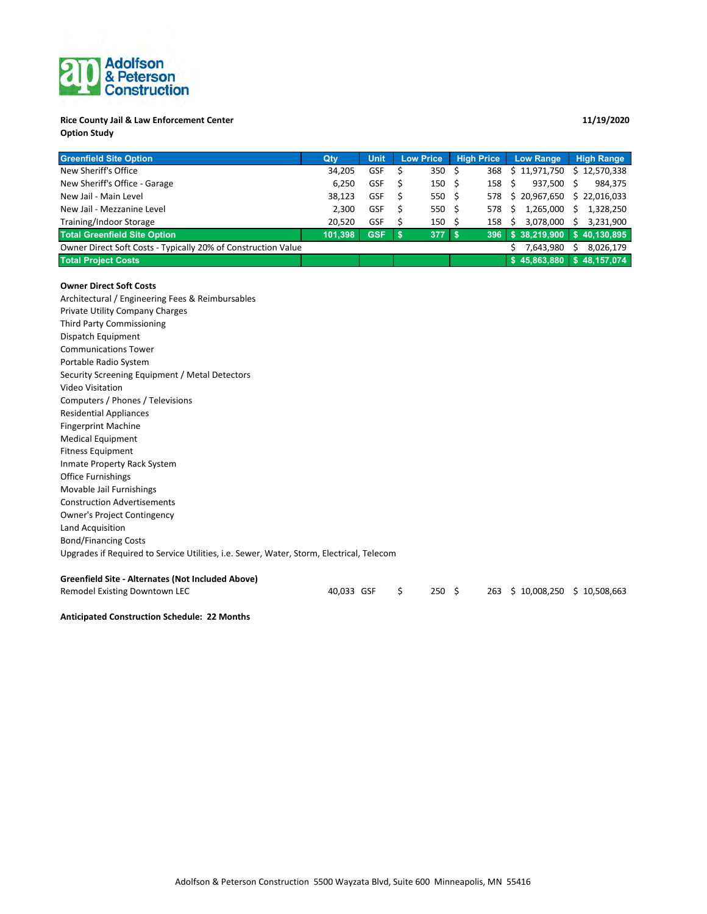# Adolfson<br>& Peterson<br>Construction

### **Rice County Jail & Law Enforcement Center 11/19/2020 Option Study**

| <b>Greenfield Site Option</b>                                 | Qty     | Unit       | <b>High Price</b><br><b>Low Price</b> |                  | <b>Low Range</b> | <b>High Range</b>         |                 |
|---------------------------------------------------------------|---------|------------|---------------------------------------|------------------|------------------|---------------------------|-----------------|
| New Sheriff's Office                                          | 34,205  | <b>GSF</b> |                                       | 350 \$           | 368              | \$11,971,750              | \$12,570,338    |
| New Sheriff's Office - Garage                                 | 6.250   | <b>GSF</b> |                                       | 150 <sup>5</sup> | 158              | 937.500<br>- S            | 984,375<br>S    |
| New Jail - Main Level                                         | 38,123  | <b>GSF</b> | S                                     | 550 \$           | 578              | \$20,967,650              | \$22,016,033    |
| New Jail - Mezzanine Level                                    | 2.300   | <b>GSF</b> |                                       | 550 \$           | 578              | 1,265,000<br>S.           | 1,328,250<br>S  |
| Training/Indoor Storage                                       | 20.520  | <b>GSF</b> |                                       | 150 <sup>5</sup> | 158              | 3.078.000<br><sub>S</sub> | 3,231,900<br>Ś. |
| <b>Total Greenfield Site Option</b>                           | 101.398 | <b>GSF</b> | √ S                                   | 377 S            | 396              | \$38,219,900              | \$40.130.895    |
| Owner Direct Soft Costs - Typically 20% of Construction Value |         |            |                                       |                  |                  | 7,643,980                 | 8,026,179       |
| <b>Total Project Costs</b>                                    |         |            |                                       |                  |                  | \$45,863,880              | \$48,157,074    |

#### **Owner Direct Soft Costs**

Architectural / Engineering Fees & Reimbursables Private Utility Company Charges Third Party Commissioning Dispatch Equipment Communications Tower Portable Radio System Security Screening Equipment / Metal Detectors Video Visitation Computers / Phones / Televisions Residential Appliances Fingerprint Machine Medical Equipment Fitness Equipment Inmate Property Rack System Office Furnishings Movable Jail Furnishings Construction Advertisements Owner's Project Contingency Land Acquisition Bond/Financing Costs Upgrades if Required to Service Utilities, i.e. Sewer, Water, Storm, Electrical, Telecom **Greenfield Site - Alternates (Not Included Above)**

| Remodel Existing Downtown LEC | 40,033 GSF \$ |  | $250 \pm 5$ |  | 263 \$10,008,250 \$10,508,663 |  |
|-------------------------------|---------------|--|-------------|--|-------------------------------|--|
|-------------------------------|---------------|--|-------------|--|-------------------------------|--|

**Anticipated Construction Schedule: 22 Months**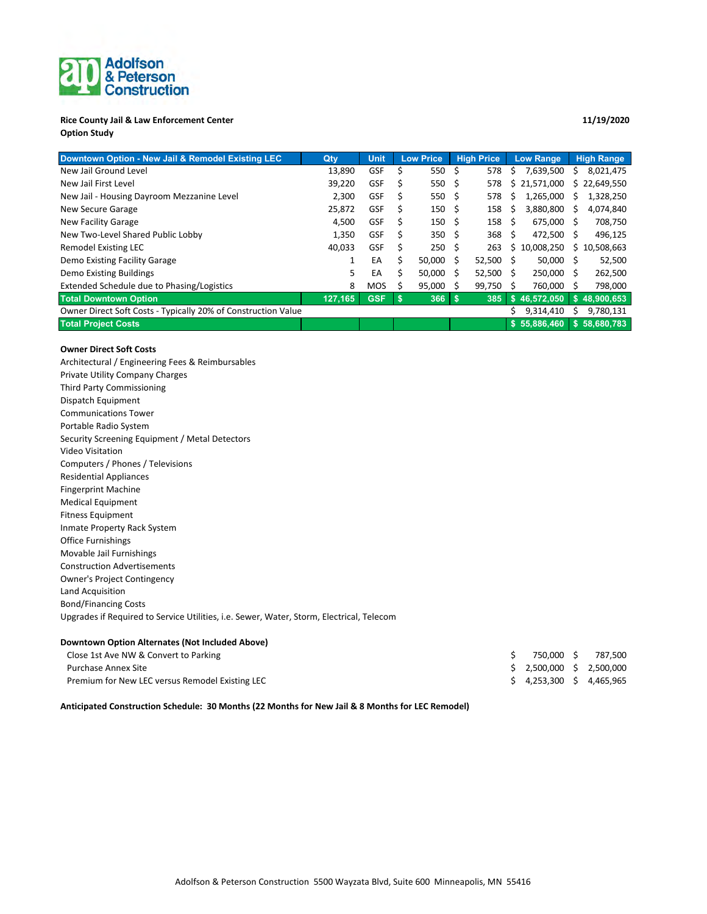# Adolfson<br>& Peterson

#### **Rice County Jail & Law Enforcement Center 11/19/2020 Option Study**

### **Downtown Option - New Jail & Remodel Existing LEC Qty Unit Low Price High Price Low Range High Range** New Jail Ground Level 2012 13,890 GSF \$ 550 \$ 578 \$ 57639,500 \$ 8,021,475 New Jail First Level 20,649,550 SM 39,220 GSF \$ 550 \$ 578 \$ 21,571,000 \$ 22,649,550 New Jail - Housing Dayroom Mezzanine Level 2,300 GSF \$ 550 \$ 578 \$ 1,265,000 \$ 1,328,250 New Secure Garage 25,872 GSF \$ 150 \$ 158 \$ 3,880,800 \$ 4,074,840 New Facility Garage 2008,750 COM 2010 1500 COSF \$ 150 \$ 158 \$ 155,000 \$ 708,750 New Two-Level Shared Public Lobby 1,350 GSF \$ 350 \$ 368 \$ 472,500 \$ 496,125 Remodel Existing LEC 200 263 CH 40,033 GSF \$ 250 \$ 263 \$ 10,008,250 \$ 10,508,663 Demo Existing Facility Garage 1 22,500 1 EA \$ 50,000 \$ 52,500 \$ 50,000 \$ 52,500 Demo Existing Buildings 6 Australian 1990 10 Company 10 CH Australian 1 Company 1 Company 1 Company 1 Company 1 Company 1 Company 1 Company 1 Company 1 Company 1 Company 1 Company 1 Company 1 Company 1 Company 1 Company 1 Extended Schedule due to Phasing/Logistics **8 MOS \$ 95,000 \$ 99,750 \$ 760,000 \$ 798,000 Total Downtown Option GSF 127,165 \$ 366 \$ 46,572,050 385 \$ \$ 48,900,653** Owner Direct Soft Costs - Typically 20% of Construction Value 5 9,314,410 \$ 9,314,410 \$ 9,780,131 **Total Project Costs \$ 58,680,783 55,886,460 \$**

#### **Owner Direct Soft Costs**

Architectural / Engineering Fees & Reimbursables Private Utility Company Charges Third Party Commissioning Dispatch Equipment Communications Tower Portable Radio System Security Screening Equipment / Metal Detectors Video Visitation Computers / Phones / Televisions Residential Appliances Fingerprint Machine Medical Equipment Fitness Equipment Inmate Property Rack System Office Furnishings Movable Jail Furnishings Construction Advertisements Owner's Project Contingency Land Acquisition Bond/Financing Costs Upgrades if Required to Service Utilities, i.e. Sewer, Water, Storm, Electrical, Telecom

#### **Downtown Option Alternates (Not Included Above)**

| Close 1st Ave NW & Convert to Parking           |                               | 750,000 \$ 787,500 |
|-------------------------------------------------|-------------------------------|--------------------|
| Purchase Annex Site                             | \$ 2,500,000 \$ 2,500,000     |                    |
| Premium for New LEC versus Remodel Existing LEC | $$4,253,300 \quad $4,465,965$ |                    |

**Anticipated Construction Schedule: 30 Months (22 Months for New Jail & 8 Months for LEC Remodel)**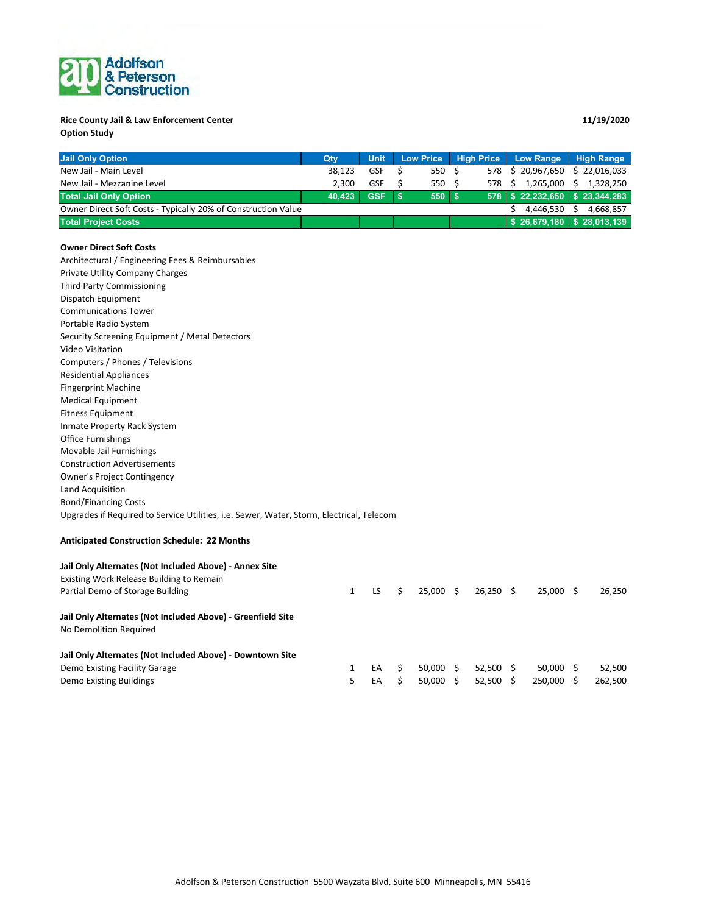## Adolfson<br>& Peterson

## **Rice County Jail & Law Enforcement Center 11/19/2020**

**Option Study**

| <b>Jail Only Option</b>                                       | Qtv    | <b>Unit</b> |  |        |     | Low Price High Price Low Range | High Range                  |  |
|---------------------------------------------------------------|--------|-------------|--|--------|-----|--------------------------------|-----------------------------|--|
| New Jail - Main Level                                         | 38.123 | <b>GSF</b>  |  | 550S   |     | 578 \$ 20.967.650              | \$22,016,033                |  |
| New Jail - Mezzanine Level                                    | 2.300  | <b>GSF</b>  |  | 550 \$ | 578 | 1.265.000                      | 1.328.250                   |  |
| <b>Total Jail Only Option</b>                                 | 40.423 | GSF \$      |  | 550 \$ |     | 578 \$22,232,650 \$23,344,283  |                             |  |
| Owner Direct Soft Costs - Typically 20% of Construction Value |        |             |  |        |     | 4.446.530                      | 4.668.857                   |  |
| <b>Total Project Costs</b>                                    |        |             |  |        |     |                                | $$26,679,180$ $$28,013,139$ |  |

#### **Owner Direct Soft Costs**

Architectural / Engineering Fees & Reimbursables Private Utility Company Charges Third Party Commissioning Dispatch Equipment Communications Tower Portable Radio System Security Screening Equipment / Metal Detectors Video Visitation Computers / Phones / Televisions Residential Appliances Fingerprint Machine Medical Equipment Fitness Equipment Inmate Property Rack System Office Furnishings Movable Jail Furnishings Construction Advertisements Owner's Project Contingency Land Acquisition Bond/Financing Costs Upgrades if Required to Service Utilities, i.e. Sewer, Water, Storm, Electrical, Telecom **Anticipated Construction Schedule: 22 Months Jail Only Alternates (Not Included Above) - Annex Site** Existing Work Release Building to Remain Partial Demo of Storage Building 1 LS \$ 25,000 \$ 26,250 \$ 25,000 \$ 26,250 \$ 25,000 \$ 26,250 **Jail Only Alternates (Not Included Above) - Greenfield Site** No Demolition Required **Jail Only Alternates (Not Included Above) - Downtown Site** Demo Existing Facility Garage 1 22,500 1 EA \$ 50,000 \$ 52,500 \$ 50,000 \$ 52,500

Demo Existing Buildings **5 CA \$ 50,000 \$ 52,500 \$ 262,500** \$ 262,500